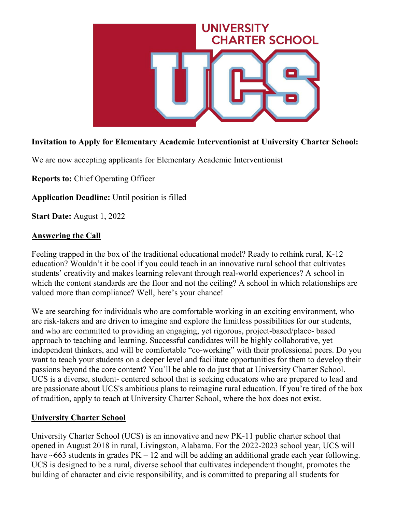

# **Invitation to Apply for Elementary Academic Interventionist at University Charter School:**

We are now accepting applicants for Elementary Academic Interventionist

**Reports to:** Chief Operating Officer

**Application Deadline:** Until position is filled

**Start Date:** August 1, 2022

#### **Answering the Call**

Feeling trapped in the box of the traditional educational model? Ready to rethink rural, K-12 education? Wouldn't it be cool if you could teach in an innovative rural school that cultivates students' creativity and makes learning relevant through real-world experiences? A school in which the content standards are the floor and not the ceiling? A school in which relationships are valued more than compliance? Well, here's your chance!

We are searching for individuals who are comfortable working in an exciting environment, who are risk-takers and are driven to imagine and explore the limitless possibilities for our students, and who are committed to providing an engaging, yet rigorous, project-based/place- based approach to teaching and learning. Successful candidates will be highly collaborative, yet independent thinkers, and will be comfortable "co-working" with their professional peers. Do you want to teach your students on a deeper level and facilitate opportunities for them to develop their passions beyond the core content? You'll be able to do just that at University Charter School. UCS is a diverse, student- centered school that is seeking educators who are prepared to lead and are passionate about UCS's ambitious plans to reimagine rural education. If you're tired of the box of tradition, apply to teach at University Charter School, where the box does not exist.

### **University Charter School**

University Charter School (UCS) is an innovative and new PK-11 public charter school that opened in August 2018 in rural, Livingston, Alabama. For the 2022-2023 school year, UCS will have  $~663$  students in grades  $PK - 12$  and will be adding an additional grade each year following. UCS is designed to be a rural, diverse school that cultivates independent thought, promotes the building of character and civic responsibility, and is committed to preparing all students for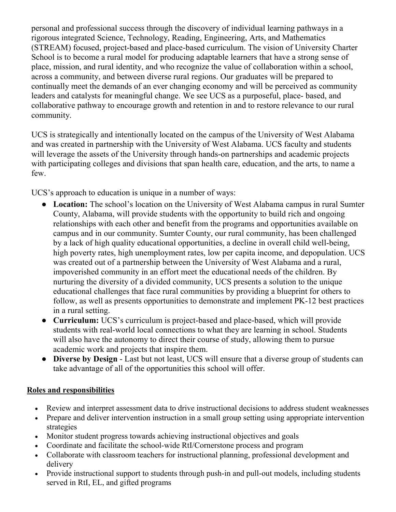personal and professional success through the discovery of individual learning pathways in a rigorous integrated Science, Technology, Reading, Engineering, Arts, and Mathematics (STREAM) focused, project-based and place-based curriculum. The vision of University Charter School is to become a rural model for producing adaptable learners that have a strong sense of place, mission, and rural identity, and who recognize the value of collaboration within a school, across a community, and between diverse rural regions. Our graduates will be prepared to continually meet the demands of an ever changing economy and will be perceived as community leaders and catalysts for meaningful change. We see UCS as a purposeful, place- based, and collaborative pathway to encourage growth and retention in and to restore relevance to our rural community.

UCS is strategically and intentionally located on the campus of the University of West Alabama and was created in partnership with the University of West Alabama. UCS faculty and students will leverage the assets of the University through hands-on partnerships and academic projects with participating colleges and divisions that span health care, education, and the arts, to name a few.

UCS's approach to education is unique in a number of ways:

- **Location:** The school's location on the University of West Alabama campus in rural Sumter County, Alabama, will provide students with the opportunity to build rich and ongoing relationships with each other and benefit from the programs and opportunities available on campus and in our community. Sumter County, our rural community, has been challenged by a lack of high quality educational opportunities, a decline in overall child well-being, high poverty rates, high unemployment rates, low per capita income, and depopulation. UCS was created out of a partnership between the University of West Alabama and a rural, impoverished community in an effort meet the educational needs of the children. By nurturing the diversity of a divided community, UCS presents a solution to the unique educational challenges that face rural communities by providing a blueprint for others to follow, as well as presents opportunities to demonstrate and implement PK-12 best practices in a rural setting.
- **Curriculum:** UCS's curriculum is project-based and place-based, which will provide students with real-world local connections to what they are learning in school. Students will also have the autonomy to direct their course of study, allowing them to pursue academic work and projects that inspire them.
- **Diverse by Design**  Last but not least, UCS will ensure that a diverse group of students can take advantage of all of the opportunities this school will offer.

### **Roles and responsibilities**

- Review and interpret assessment data to drive instructional decisions to address student weaknesses
- Prepare and deliver intervention instruction in a small group setting using appropriate intervention strategies
- Monitor student progress towards achieving instructional objectives and goals
- Coordinate and facilitate the school-wide RtI/Cornerstone process and program
- Collaborate with classroom teachers for instructional planning, professional development and delivery
- Provide instructional support to students through push-in and pull-out models, including students served in RtI, EL, and gifted programs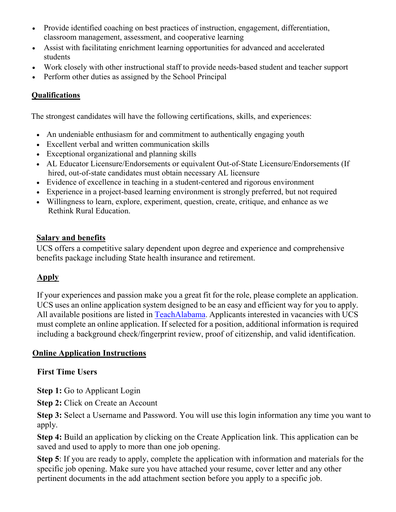- Provide identified coaching on best practices of instruction, engagement, differentiation, classroom management, assessment, and cooperative learning
- Assist with facilitating enrichment learning opportunities for advanced and accelerated students
- Work closely with other instructional staff to provide needs-based student and teacher support
- Perform other duties as assigned by the School Principal

## **Qualifications**

The strongest candidates will have the following certifications, skills, and experiences:

- An undeniable enthusiasm for and commitment to authentically engaging youth
- Excellent verbal and written communication skills
- Exceptional organizational and planning skills
- AL Educator Licensure/Endorsements or equivalent Out-of-State Licensure/Endorsements (If hired, out-of-state candidates must obtain necessary AL licensure
- Evidence of excellence in teaching in a student-centered and rigorous environment
- Experience in a project-based learning environment is strongly preferred, but not required
- Willingness to learn, explore, experiment, question, create, critique, and enhance as we Rethink Rural Education.

### **Salary and benefits**

UCS offers a competitive salary dependent upon degree and experience and comprehensive benefits package including State health insurance and retirement.

### **Apply**

If your experiences and passion make you a great fit for the role, please complete an application. UCS uses an online application system designed to be an easy and efficient way for you to apply. All available positions are listed in [TeachAlabama](https://ats1.atenterprise.powerschool.com/ats/app_login?COMPANY_ID=00008500). Applicants interested in vacancies with UCS must complete an online application. If selected for a position, additional information is required including a background check/fingerprint review, proof of citizenship, and valid identification.

### **Online Application Instructions**

### **First Time Users**

**Step 1:** Go to Applicant Login

**Step 2: Click on Create an Account** 

**Step 3:** Select a Username and Password. You will use this login information any time you want to apply.

**Step 4:** Build an application by clicking on the Create Application link. This application can be saved and used to apply to more than one job opening.

**Step 5**: If you are ready to apply, complete the application with information and materials for the specific job opening. Make sure you have attached your resume, cover letter and any other pertinent documents in the add attachment section before you apply to a specific job.